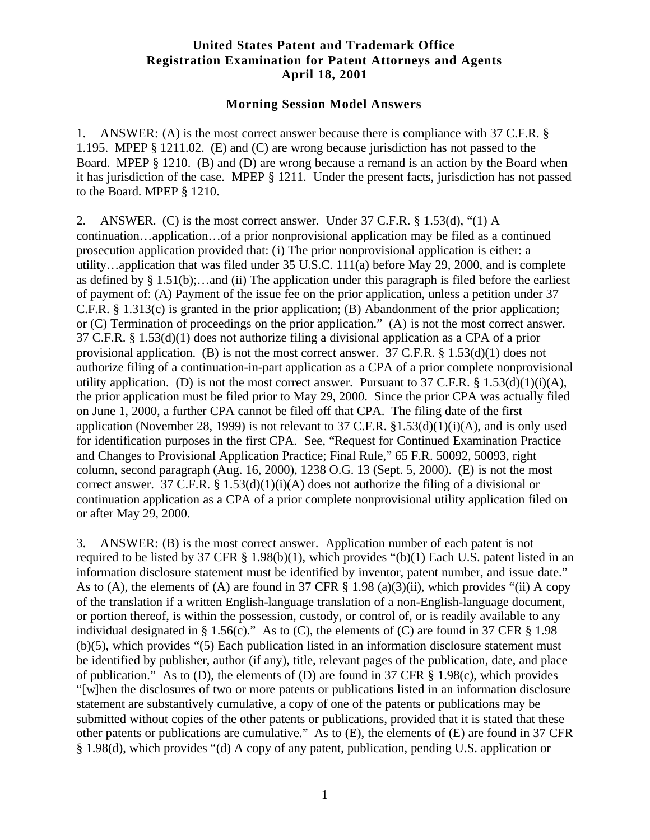## **United States Patent and Trademark Office Registration Examination for Patent Attorneys and Agents April 18, 2001**

## **Morning Session Model Answers**

1. ANSWER: (A) is the most correct answer because there is compliance with 37 C.F.R. § 1.195. MPEP § 1211.02. (E) and (C) are wrong because jurisdiction has not passed to the Board. MPEP § 1210. (B) and (D) are wrong because a remand is an action by the Board when it has jurisdiction of the case. MPEP § 1211. Under the present facts, jurisdiction has not passed to the Board. MPEP § 1210.

2. ANSWER. (C) is the most correct answer. Under 37 C.F.R. § 1.53(d), "(1) A continuation…application…of a prior nonprovisional application may be filed as a continued prosecution application provided that: (i) The prior nonprovisional application is either: a utility…application that was filed under 35 U.S.C. 111(a) before May 29, 2000, and is complete as defined by  $\S 1.51(b)$ ;...and (ii) The application under this paragraph is filed before the earliest of payment of: (A) Payment of the issue fee on the prior application, unless a petition under 37 C.F.R. § 1.313(c) is granted in the prior application; (B) Abandonment of the prior application; or (C) Termination of proceedings on the prior application." (A) is not the most correct answer. 37 C.F.R. § 1.53(d)(1) does not authorize filing a divisional application as a CPA of a prior provisional application. (B) is not the most correct answer. 37 C.F.R. § 1.53(d)(1) does not authorize filing of a continuation-in-part application as a CPA of a prior complete nonprovisional utility application. (D) is not the most correct answer. Pursuant to 37 C.F.R.  $\S$  1.53(d)(1)(i)(A), the prior application must be filed prior to May 29, 2000. Since the prior CPA was actually filed on June 1, 2000, a further CPA cannot be filed off that CPA. The filing date of the first application (November 28, 1999) is not relevant to 37 C.F.R.  $$1.53(d)(1)(i)(A)$ , and is only used for identification purposes in the first CPA. See, "Request for Continued Examination Practice and Changes to Provisional Application Practice; Final Rule," 65 F.R. 50092, 50093, right column, second paragraph (Aug. 16, 2000), 1238 O.G. 13 (Sept. 5, 2000). (E) is not the most correct answer. 37 C.F.R. §  $1.53(d)(1)(i)(A)$  does not authorize the filing of a divisional or continuation application as a CPA of a prior complete nonprovisional utility application filed on or after May 29, 2000.

3. ANSWER: (B) is the most correct answer. Application number of each patent is not required to be listed by 37 CFR § 1.98(b)(1), which provides "(b)(1) Each U.S. patent listed in an information disclosure statement must be identified by inventor, patent number, and issue date." As to (A), the elements of (A) are found in 37 CFR  $\S$  1.98 (a)(3)(ii), which provides "(ii) A copy of the translation if a written English-language translation of a non-English-language document, or portion thereof, is within the possession, custody, or control of, or is readily available to any individual designated in § 1.56(c)." As to (C), the elements of (C) are found in 37 CFR § 1.98 (b)(5), which provides "(5) Each publication listed in an information disclosure statement must be identified by publisher, author (if any), title, relevant pages of the publication, date, and place of publication." As to (D), the elements of (D) are found in 37 CFR  $\S$  1.98(c), which provides "[w]hen the disclosures of two or more patents or publications listed in an information disclosure statement are substantively cumulative, a copy of one of the patents or publications may be submitted without copies of the other patents or publications, provided that it is stated that these other patents or publications are cumulative." As to (E), the elements of (E) are found in 37 CFR § 1.98(d), which provides "(d) A copy of any patent, publication, pending U.S. application or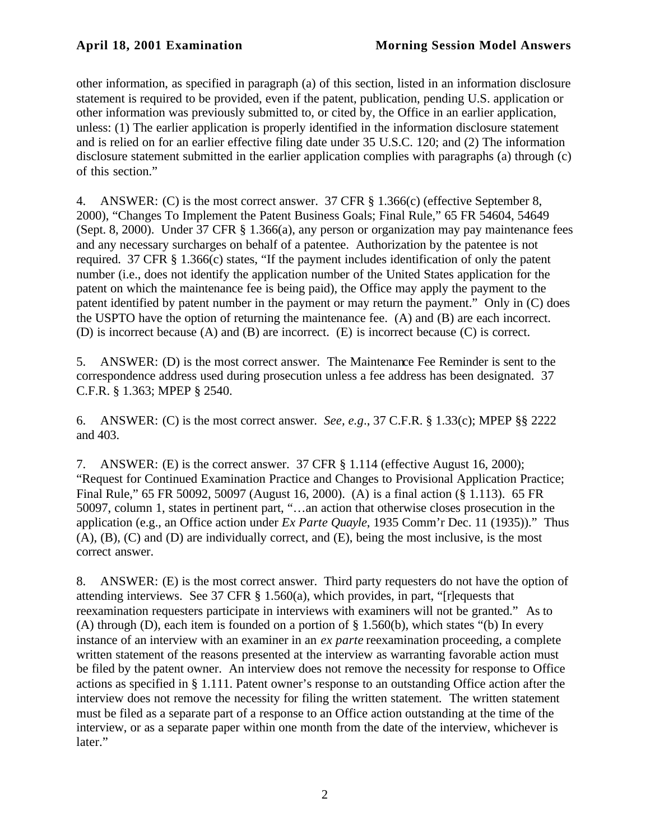other information, as specified in paragraph (a) of this section, listed in an information disclosure statement is required to be provided, even if the patent, publication, pending U.S. application or other information was previously submitted to, or cited by, the Office in an earlier application, unless: (1) The earlier application is properly identified in the information disclosure statement and is relied on for an earlier effective filing date under 35 U.S.C. 120; and (2) The information disclosure statement submitted in the earlier application complies with paragraphs (a) through (c) of this section."

4. ANSWER: (C) is the most correct answer. 37 CFR § 1.366(c) (effective September 8, 2000), "Changes To Implement the Patent Business Goals; Final Rule," 65 FR 54604, 54649 (Sept. 8, 2000). Under 37 CFR § 1.366(a), any person or organization may pay maintenance fees and any necessary surcharges on behalf of a patentee. Authorization by the patentee is not required. 37 CFR § 1.366(c) states, "If the payment includes identification of only the patent number (i.e., does not identify the application number of the United States application for the patent on which the maintenance fee is being paid), the Office may apply the payment to the patent identified by patent number in the payment or may return the payment." Only in (C) does the USPTO have the option of returning the maintenance fee. (A) and (B) are each incorrect. (D) is incorrect because (A) and (B) are incorrect. (E) is incorrect because (C) is correct.

5. ANSWER: (D) is the most correct answer. The Maintenance Fee Reminder is sent to the correspondence address used during prosecution unless a fee address has been designated. 37 C.F.R. § 1.363; MPEP § 2540.

6. ANSWER: (C) is the most correct answer. *See, e.g*., 37 C.F.R. § 1.33(c); MPEP §§ 2222 and 403.

7. ANSWER: (E) is the correct answer. 37 CFR § 1.114 (effective August 16, 2000); "Request for Continued Examination Practice and Changes to Provisional Application Practice; Final Rule," 65 FR 50092, 50097 (August 16, 2000). (A) is a final action (§ 1.113). 65 FR 50097, column 1, states in pertinent part, "…an action that otherwise closes prosecution in the application (e.g., an Office action under *Ex Parte Quayle*, 1935 Comm'r Dec. 11 (1935))." Thus (A), (B), (C) and (D) are individually correct, and (E), being the most inclusive, is the most correct answer.

8. ANSWER: (E) is the most correct answer. Third party requesters do not have the option of attending interviews. See 37 CFR § 1.560(a), which provides, in part, "[r]equests that reexamination requesters participate in interviews with examiners will not be granted." As to (A) through (D), each item is founded on a portion of § 1.560(b), which states "(b) In every instance of an interview with an examiner in an *ex parte* reexamination proceeding, a complete written statement of the reasons presented at the interview as warranting favorable action must be filed by the patent owner. An interview does not remove the necessity for response to Office actions as specified in § 1.111. Patent owner's response to an outstanding Office action after the interview does not remove the necessity for filing the written statement. The written statement must be filed as a separate part of a response to an Office action outstanding at the time of the interview, or as a separate paper within one month from the date of the interview, whichever is later."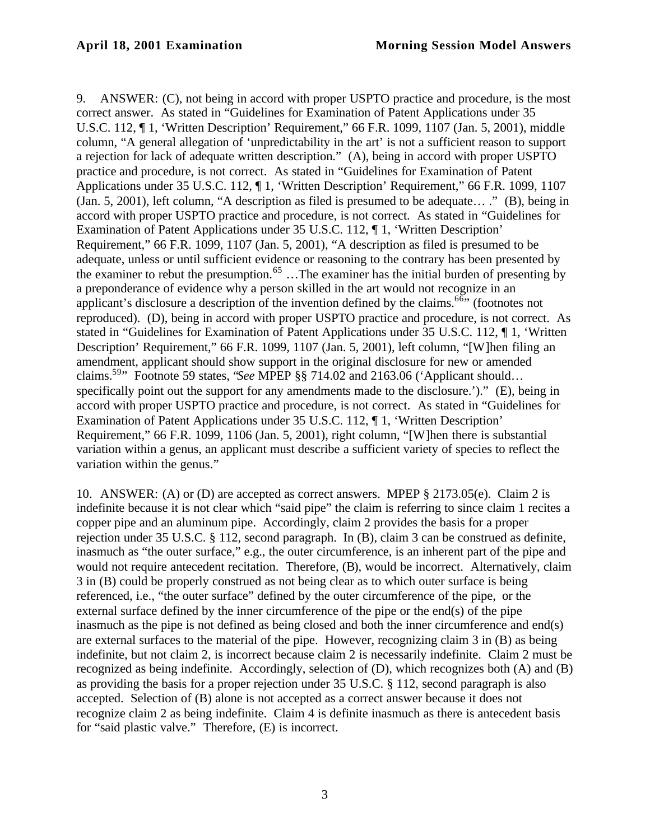9. ANSWER: (C), not being in accord with proper USPTO practice and procedure, is the most correct answer. As stated in "Guidelines for Examination of Patent Applications under 35 U.S.C. 112, ¶ 1, 'Written Description' Requirement," 66 F.R. 1099, 1107 (Jan. 5, 2001), middle column, "A general allegation of 'unpredictability in the art' is not a sufficient reason to support a rejection for lack of adequate written description." (A), being in accord with proper USPTO practice and procedure, is not correct. As stated in "Guidelines for Examination of Patent Applications under 35 U.S.C. 112, ¶ 1, 'Written Description' Requirement," 66 F.R. 1099, 1107 (Jan. 5, 2001), left column, "A description as filed is presumed to be adequate… ." (B), being in accord with proper USPTO practice and procedure, is not correct. As stated in "Guidelines for Examination of Patent Applications under 35 U.S.C. 112, ¶ 1, 'Written Description' Requirement," 66 F.R. 1099, 1107 (Jan. 5, 2001), "A description as filed is presumed to be adequate, unless or until sufficient evidence or reasoning to the contrary has been presented by the examiner to rebut the presumption.<sup>65</sup> ...The examiner has the initial burden of presenting by a preponderance of evidence why a person skilled in the art would not recognize in an applicant's disclosure a description of the invention defined by the claims.<sup>66"</sup> (footnotes not reproduced). (D), being in accord with proper USPTO practice and procedure, is not correct. As stated in "Guidelines for Examination of Patent Applications under 35 U.S.C. 112, ¶ 1, 'Written Description' Requirement," 66 F.R. 1099, 1107 (Jan. 5, 2001), left column, "[W]hen filing an amendment, applicant should show support in the original disclosure for new or amended claims.<sup>59</sup>" Footnote 59 states, "*See* MPEP §§ 714.02 and 2163.06 ('Applicant should… specifically point out the support for any amendments made to the disclosure.')." (E), being in accord with proper USPTO practice and procedure, is not correct. As stated in "Guidelines for Examination of Patent Applications under 35 U.S.C. 112, ¶ 1, 'Written Description' Requirement," 66 F.R. 1099, 1106 (Jan. 5, 2001), right column, "[W]hen there is substantial variation within a genus, an applicant must describe a sufficient variety of species to reflect the variation within the genus."

10. ANSWER: (A) or (D) are accepted as correct answers. MPEP § 2173.05(e). Claim 2 is indefinite because it is not clear which "said pipe" the claim is referring to since claim 1 recites a copper pipe and an aluminum pipe. Accordingly, claim 2 provides the basis for a proper rejection under 35 U.S.C. § 112, second paragraph. In (B), claim 3 can be construed as definite, inasmuch as "the outer surface," e.g., the outer circumference, is an inherent part of the pipe and would not require antecedent recitation. Therefore, (B), would be incorrect. Alternatively, claim 3 in (B) could be properly construed as not being clear as to which outer surface is being referenced, i.e., "the outer surface" defined by the outer circumference of the pipe, or the external surface defined by the inner circumference of the pipe or the end(s) of the pipe inasmuch as the pipe is not defined as being closed and both the inner circumference and end(s) are external surfaces to the material of the pipe. However, recognizing claim 3 in (B) as being indefinite, but not claim 2, is incorrect because claim 2 is necessarily indefinite. Claim 2 must be recognized as being indefinite. Accordingly, selection of (D), which recognizes both (A) and (B) as providing the basis for a proper rejection under 35 U.S.C. § 112, second paragraph is also accepted. Selection of (B) alone is not accepted as a correct answer because it does not recognize claim 2 as being indefinite. Claim 4 is definite inasmuch as there is antecedent basis for "said plastic valve." Therefore, (E) is incorrect.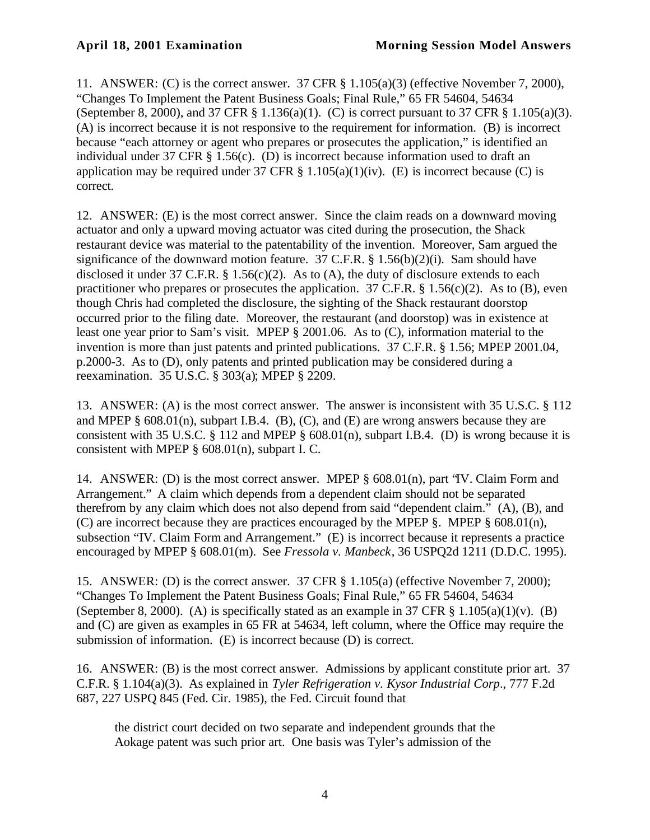11. ANSWER: (C) is the correct answer. 37 CFR § 1.105(a)(3) (effective November 7, 2000), "Changes To Implement the Patent Business Goals; Final Rule," 65 FR 54604, 54634 (September 8, 2000), and 37 CFR § 1.136(a)(1). (C) is correct pursuant to 37 CFR § 1.105(a)(3). (A) is incorrect because it is not responsive to the requirement for information. (B) is incorrect because "each attorney or agent who prepares or prosecutes the application," is identified an individual under 37 CFR § 1.56(c). (D) is incorrect because information used to draft an application may be required under 37 CFR  $\S$  1.105(a)(1)(iv). (E) is incorrect because (C) is correct.

12. ANSWER: (E) is the most correct answer. Since the claim reads on a downward moving actuator and only a upward moving actuator was cited during the prosecution, the Shack restaurant device was material to the patentability of the invention. Moreover, Sam argued the significance of the downward motion feature. 37 C.F.R.  $\S$  1.56(b)(2)(i). Sam should have disclosed it under 37 C.F.R. § 1.56(c)(2). As to (A), the duty of disclosure extends to each practitioner who prepares or prosecutes the application.  $37$  C.F.R. § 1.56(c)(2). As to (B), even though Chris had completed the disclosure, the sighting of the Shack restaurant doorstop occurred prior to the filing date. Moreover, the restaurant (and doorstop) was in existence at least one year prior to Sam's visit. MPEP § 2001.06. As to (C), information material to the invention is more than just patents and printed publications. 37 C.F.R. § 1.56; MPEP 2001.04, p.2000-3. As to (D), only patents and printed publication may be considered during a reexamination. 35 U.S.C. § 303(a); MPEP § 2209.

13. ANSWER: (A) is the most correct answer. The answer is inconsistent with 35 U.S.C. § 112 and MPEP  $\S$  608.01(n), subpart I.B.4. (B), (C), and (E) are wrong answers because they are consistent with 35 U.S.C. § 112 and MPEP §  $608.01(n)$ , subpart I.B.4. (D) is wrong because it is consistent with MPEP § 608.01(n), subpart I. C.

14. ANSWER: (D) is the most correct answer. MPEP § 608.01(n), part "IV. Claim Form and Arrangement." A claim which depends from a dependent claim should not be separated therefrom by any claim which does not also depend from said "dependent claim." (A), (B), and (C) are incorrect because they are practices encouraged by the MPEP  $\S$ . MPEP  $\S$  608.01(n), subsection "IV. Claim Form and Arrangement." (E) is incorrect because it represents a practice encouraged by MPEP § 608.01(m). See *Fressola v. Manbeck*, 36 USPQ2d 1211 (D.D.C. 1995).

15. ANSWER: (D) is the correct answer. 37 CFR § 1.105(a) (effective November 7, 2000); "Changes To Implement the Patent Business Goals; Final Rule," 65 FR 54604, 54634 (September 8, 2000). (A) is specifically stated as an example in 37 CFR  $\S$  1.105(a)(1)(v). (B) and (C) are given as examples in 65 FR at 54634, left column, where the Office may require the submission of information. (E) is incorrect because (D) is correct.

16. ANSWER: (B) is the most correct answer. Admissions by applicant constitute prior art. 37 C.F.R. § 1.104(a)(3). As explained in *Tyler Refrigeration v. Kysor Industrial Corp*., 777 F.2d 687, 227 USPQ 845 (Fed. Cir. 1985), the Fed. Circuit found that

the district court decided on two separate and independent grounds that the Aokage patent was such prior art. One basis was Tyler's admission of the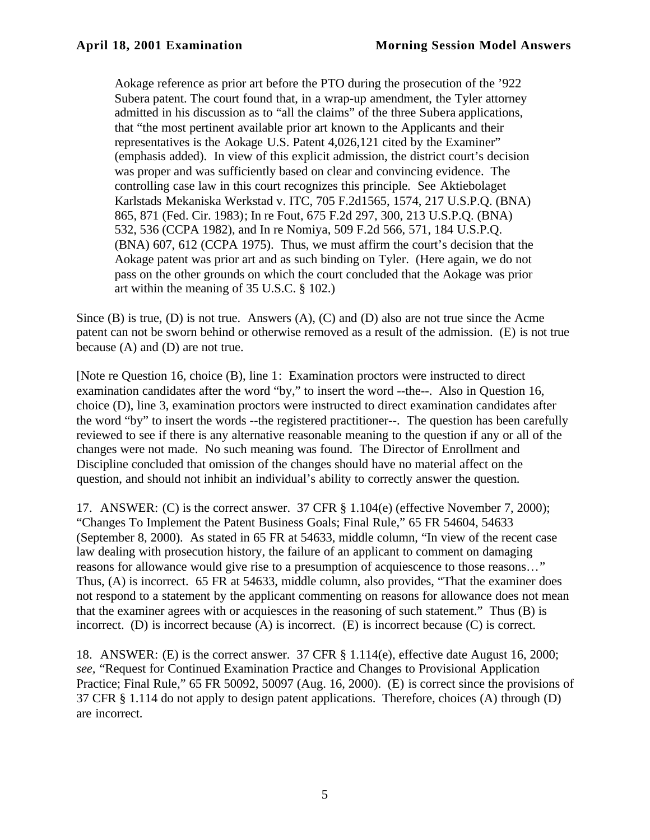Aokage reference as prior art before the PTO during the prosecution of the '922 Subera patent. The court found that, in a wrap-up amendment, the Tyler attorney admitted in his discussion as to "all the claims" of the three Subera applications, that "the most pertinent available prior art known to the Applicants and their representatives is the Aokage U.S. Patent 4,026,121 cited by the Examiner" (emphasis added). In view of this explicit admission, the district court's decision was proper and was sufficiently based on clear and convincing evidence. The controlling case law in this court recognizes this principle. See Aktiebolaget Karlstads Mekaniska Werkstad v. ITC, 705 F.2d1565, 1574, 217 U.S.P.Q. (BNA) 865, 871 (Fed. Cir. 1983); In re Fout, 675 F.2d 297, 300, 213 U.S.P.Q. (BNA) 532, 536 (CCPA 1982), and In re Nomiya, 509 F.2d 566, 571, 184 U.S.P.Q. (BNA) 607, 612 (CCPA 1975). Thus, we must affirm the court's decision that the Aokage patent was prior art and as such binding on Tyler. (Here again, we do not pass on the other grounds on which the court concluded that the Aokage was prior art within the meaning of 35 U.S.C. § 102.)

Since (B) is true, (D) is not true. Answers (A), (C) and (D) also are not true since the Acme patent can not be sworn behind or otherwise removed as a result of the admission. (E) is not true because (A) and (D) are not true.

[Note re Question 16, choice (B), line 1: Examination proctors were instructed to direct examination candidates after the word "by," to insert the word --the--. Also in Question 16, choice (D), line 3, examination proctors were instructed to direct examination candidates after the word "by" to insert the words --the registered practitioner--. The question has been carefully reviewed to see if there is any alternative reasonable meaning to the question if any or all of the changes were not made. No such meaning was found. The Director of Enrollment and Discipline concluded that omission of the changes should have no material affect on the question, and should not inhibit an individual's ability to correctly answer the question.

17. ANSWER: (C) is the correct answer. 37 CFR § 1.104(e) (effective November 7, 2000); "Changes To Implement the Patent Business Goals; Final Rule," 65 FR 54604, 54633 (September 8, 2000). As stated in 65 FR at 54633, middle column, "In view of the recent case law dealing with prosecution history, the failure of an applicant to comment on damaging reasons for allowance would give rise to a presumption of acquiescence to those reasons…" Thus, (A) is incorrect. 65 FR at 54633, middle column, also provides, "That the examiner does not respond to a statement by the applicant commenting on reasons for allowance does not mean that the examiner agrees with or acquiesces in the reasoning of such statement." Thus (B) is incorrect. (D) is incorrect because (A) is incorrect. (E) is incorrect because (C) is correct.

18. ANSWER: (E) is the correct answer. 37 CFR § 1.114(e), effective date August 16, 2000; *see,* "Request for Continued Examination Practice and Changes to Provisional Application Practice; Final Rule," 65 FR 50092, 50097 (Aug. 16, 2000). (E) is correct since the provisions of 37 CFR § 1.114 do not apply to design patent applications. Therefore, choices (A) through (D) are incorrect.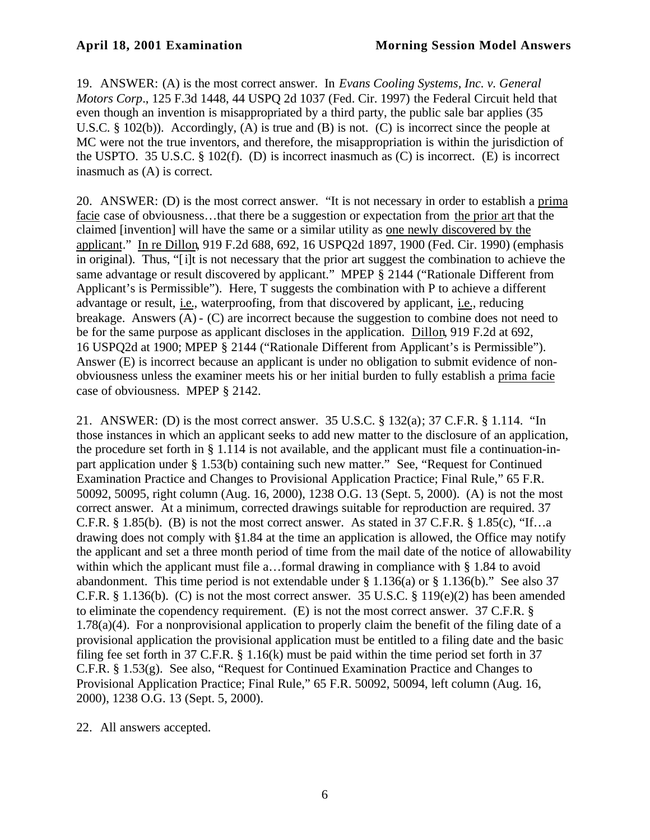19. ANSWER: (A) is the most correct answer. In *Evans Cooling Systems, Inc. v. General Motors Corp*., 125 F.3d 1448, 44 USPQ 2d 1037 (Fed. Cir. 1997) the Federal Circuit held that even though an invention is misappropriated by a third party, the public sale bar applies (35 U.S.C. § 102(b)). Accordingly, (A) is true and (B) is not. (C) is incorrect since the people at MC were not the true inventors, and therefore, the misappropriation is within the jurisdiction of the USPTO. 35 U.S.C. § 102(f). (D) is incorrect inasmuch as (C) is incorrect. (E) is incorrect inasmuch as (A) is correct.

20. ANSWER: (D) is the most correct answer. "It is not necessary in order to establish a prima facie case of obviousness…that there be a suggestion or expectation from the prior art that the claimed [invention] will have the same or a similar utility as one newly discovered by the applicant." In re Dillon, 919 F.2d 688, 692, 16 USPQ2d 1897, 1900 (Fed. Cir. 1990) (emphasis in original). Thus, "[i]t is not necessary that the prior art suggest the combination to achieve the same advantage or result discovered by applicant." MPEP § 2144 ("Rationale Different from Applicant's is Permissible"). Here, T suggests the combination with P to achieve a different advantage or result, i.e., waterproofing, from that discovered by applicant, i.e., reducing breakage. Answers (A) - (C) are incorrect because the suggestion to combine does not need to be for the same purpose as applicant discloses in the application. Dillon, 919 F.2d at 692, 16 USPQ2d at 1900; MPEP § 2144 ("Rationale Different from Applicant's is Permissible"). Answer (E) is incorrect because an applicant is under no obligation to submit evidence of nonobviousness unless the examiner meets his or her initial burden to fully establish a prima facie case of obviousness. MPEP § 2142.

21. ANSWER: (D) is the most correct answer. 35 U.S.C. § 132(a); 37 C.F.R. § 1.114. "In those instances in which an applicant seeks to add new matter to the disclosure of an application, the procedure set forth in § 1.114 is not available, and the applicant must file a continuation-inpart application under § 1.53(b) containing such new matter." See, "Request for Continued Examination Practice and Changes to Provisional Application Practice; Final Rule," 65 F.R. 50092, 50095, right column (Aug. 16, 2000), 1238 O.G. 13 (Sept. 5, 2000). (A) is not the most correct answer. At a minimum, corrected drawings suitable for reproduction are required. 37 C.F.R.  $\S 1.85(b)$ . (B) is not the most correct answer. As stated in 37 C.F.R.  $\S 1.85(c)$ , "If...a drawing does not comply with §1.84 at the time an application is allowed, the Office may notify the applicant and set a three month period of time from the mail date of the notice of allowability within which the applicant must file a...formal drawing in compliance with § 1.84 to avoid abandonment. This time period is not extendable under § 1.136(a) or § 1.136(b)." See also 37 C.F.R. § 1.136(b). (C) is not the most correct answer. 35 U.S.C. § 119(e)(2) has been amended to eliminate the copendency requirement. (E) is not the most correct answer. 37 C.F.R. § 1.78(a)(4). For a nonprovisional application to properly claim the benefit of the filing date of a provisional application the provisional application must be entitled to a filing date and the basic filing fee set forth in 37 C.F.R. § 1.16(k) must be paid within the time period set forth in 37 C.F.R. § 1.53(g). See also, "Request for Continued Examination Practice and Changes to Provisional Application Practice; Final Rule," 65 F.R. 50092, 50094, left column (Aug. 16, 2000), 1238 O.G. 13 (Sept. 5, 2000).

22. All answers accepted.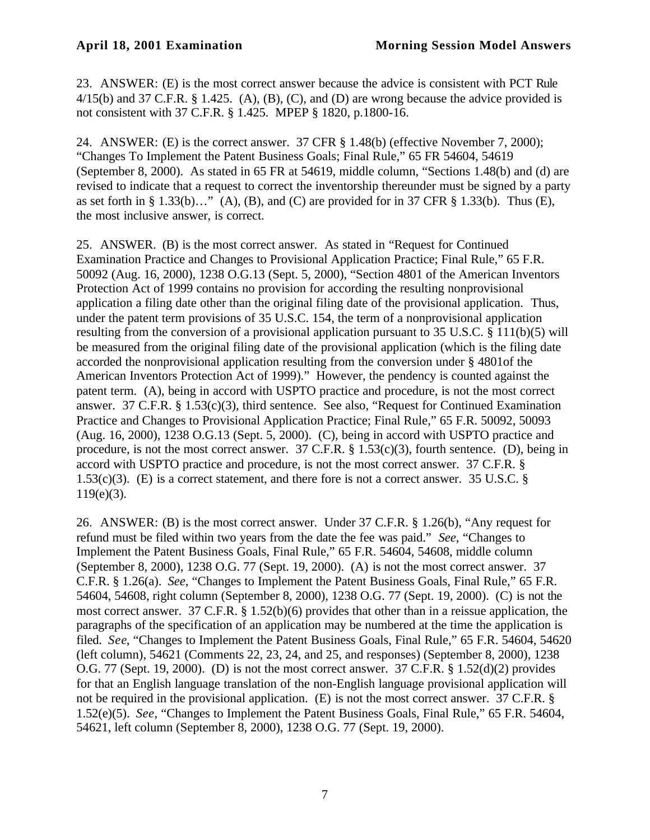23. ANSWER: (E) is the most correct answer because the advice is consistent with PCT Rule  $4/15$ (b) and 37 C.F.R. § 1.425. (A), (B), (C), and (D) are wrong because the advice provided is not consistent with 37 C.F.R. § 1.425. MPEP § 1820, p.1800-16.

24. ANSWER: (E) is the correct answer. 37 CFR § 1.48(b) (effective November 7, 2000); "Changes To Implement the Patent Business Goals; Final Rule," 65 FR 54604, 54619 (September 8, 2000). As stated in 65 FR at 54619, middle column, "Sections 1.48(b) and (d) are revised to indicate that a request to correct the inventorship thereunder must be signed by a party as set forth in § 1.33(b)…" (A), (B), and (C) are provided for in 37 CFR § 1.33(b). Thus (E), the most inclusive answer, is correct.

25. ANSWER. (B) is the most correct answer. As stated in "Request for Continued Examination Practice and Changes to Provisional Application Practice; Final Rule," 65 F.R. 50092 (Aug. 16, 2000), 1238 O.G.13 (Sept. 5, 2000), "Section 4801 of the American Inventors Protection Act of 1999 contains no provision for according the resulting nonprovisional application a filing date other than the original filing date of the provisional application. Thus, under the patent term provisions of 35 U.S.C. 154, the term of a nonprovisional application resulting from the conversion of a provisional application pursuant to 35 U.S.C. § 111(b)(5) will be measured from the original filing date of the provisional application (which is the filing date accorded the nonprovisional application resulting from the conversion under § 4801of the American Inventors Protection Act of 1999)." However, the pendency is counted against the patent term. (A), being in accord with USPTO practice and procedure, is not the most correct answer. 37 C.F.R. § 1.53(c)(3), third sentence. See also, "Request for Continued Examination Practice and Changes to Provisional Application Practice; Final Rule," 65 F.R. 50092, 50093 (Aug. 16, 2000), 1238 O.G.13 (Sept. 5, 2000). (C), being in accord with USPTO practice and procedure, is not the most correct answer. 37 C.F.R. § 1.53(c)(3), fourth sentence. (D), being in accord with USPTO practice and procedure, is not the most correct answer. 37 C.F.R. § 1.53(c)(3). (E) is a correct statement, and there fore is not a correct answer. 35 U.S.C. §  $119(e)(3)$ .

26. ANSWER: (B) is the most correct answer. Under 37 C.F.R. § 1.26(b), "Any request for refund must be filed within two years from the date the fee was paid." *See*, "Changes to Implement the Patent Business Goals, Final Rule," 65 F.R. 54604, 54608, middle column (September 8, 2000), 1238 O.G. 77 (Sept. 19, 2000). (A) is not the most correct answer. 37 C.F.R. § 1.26(a). *See*, "Changes to Implement the Patent Business Goals, Final Rule," 65 F.R. 54604, 54608, right column (September 8, 2000), 1238 O.G. 77 (Sept. 19, 2000). (C) is not the most correct answer. 37 C.F.R. § 1.52(b)(6) provides that other than in a reissue application, the paragraphs of the specification of an application may be numbered at the time the application is filed. *See*, "Changes to Implement the Patent Business Goals, Final Rule," 65 F.R. 54604, 54620 (left column), 54621 (Comments 22, 23, 24, and 25, and responses) (September 8, 2000), 1238 O.G. 77 (Sept. 19, 2000). (D) is not the most correct answer. 37 C.F.R. § 1.52(d)(2) provides for that an English language translation of the non-English language provisional application will not be required in the provisional application. (E) is not the most correct answer. 37 C.F.R. § 1.52(e)(5). *See*, "Changes to Implement the Patent Business Goals, Final Rule," 65 F.R. 54604, 54621, left column (September 8, 2000), 1238 O.G. 77 (Sept. 19, 2000).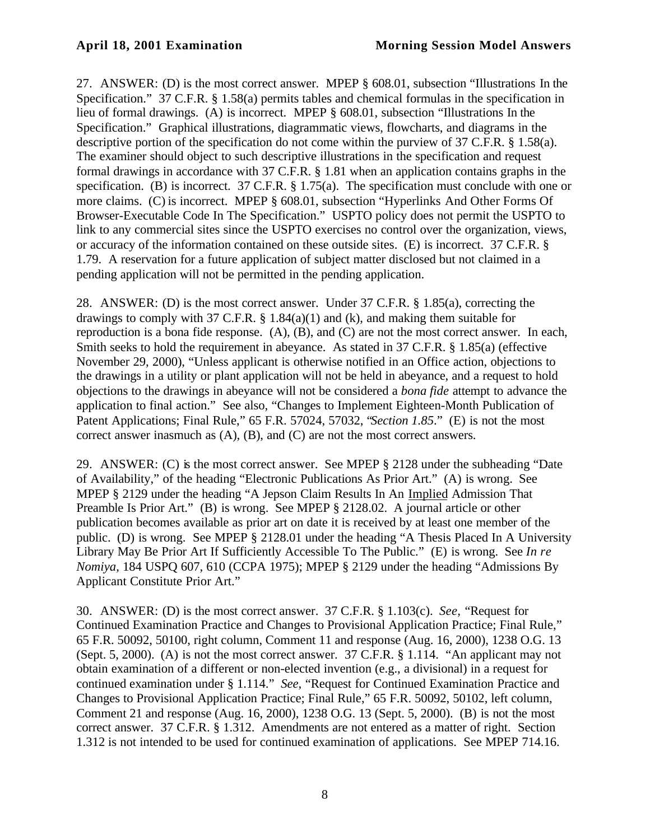27. ANSWER: (D) is the most correct answer. MPEP § 608.01, subsection "Illustrations In the Specification." 37 C.F.R. § 1.58(a) permits tables and chemical formulas in the specification in lieu of formal drawings. (A) is incorrect. MPEP § 608.01, subsection "Illustrations In the Specification." Graphical illustrations, diagrammatic views, flowcharts, and diagrams in the descriptive portion of the specification do not come within the purview of 37 C.F.R. § 1.58(a). The examiner should object to such descriptive illustrations in the specification and request formal drawings in accordance with 37 C.F.R. § 1.81 when an application contains graphs in the specification. (B) is incorrect. 37 C.F.R. § 1.75(a). The specification must conclude with one or more claims. (C) is incorrect. MPEP § 608.01, subsection "Hyperlinks And Other Forms Of Browser-Executable Code In The Specification." USPTO policy does not permit the USPTO to link to any commercial sites since the USPTO exercises no control over the organization, views, or accuracy of the information contained on these outside sites. (E) is incorrect. 37 C.F.R. § 1.79. A reservation for a future application of subject matter disclosed but not claimed in a pending application will not be permitted in the pending application.

28. ANSWER: (D) is the most correct answer. Under 37 C.F.R. § 1.85(a), correcting the drawings to comply with 37 C.F.R.  $\S$  1.84(a)(1) and (k), and making them suitable for reproduction is a bona fide response. (A), (B), and (C) are not the most correct answer. In each, Smith seeks to hold the requirement in abeyance. As stated in 37 C.F.R. § 1.85(a) (effective November 29, 2000), "Unless applicant is otherwise notified in an Office action, objections to the drawings in a utility or plant application will not be held in abeyance, and a request to hold objections to the drawings in abeyance will not be considered a *bona fide* attempt to advance the application to final action." See also, "Changes to Implement Eighteen-Month Publication of Patent Applications; Final Rule," 65 F.R. 57024, 57032, "*Section 1.85*." (E) is not the most correct answer inasmuch as (A), (B), and (C) are not the most correct answers.

29. ANSWER: (C) is the most correct answer. See MPEP § 2128 under the subheading "Date of Availability," of the heading "Electronic Publications As Prior Art." (A) is wrong. See MPEP § 2129 under the heading "A Jepson Claim Results In An Implied Admission That Preamble Is Prior Art." (B) is wrong. See MPEP § 2128.02. A journal article or other publication becomes available as prior art on date it is received by at least one member of the public. (D) is wrong. See MPEP § 2128.01 under the heading "A Thesis Placed In A University Library May Be Prior Art If Sufficiently Accessible To The Public." (E) is wrong. See *In re Nomiya*, 184 USPQ 607, 610 (CCPA 1975); MPEP § 2129 under the heading "Admissions By Applicant Constitute Prior Art."

30. ANSWER: (D) is the most correct answer. 37 C.F.R. § 1.103(c). *See,* "Request for Continued Examination Practice and Changes to Provisional Application Practice; Final Rule," 65 F.R. 50092, 50100, right column, Comment 11 and response (Aug. 16, 2000), 1238 O.G. 13 (Sept. 5, 2000). (A) is not the most correct answer. 37 C.F.R. § 1.114. "An applicant may not obtain examination of a different or non-elected invention (e.g., a divisional) in a request for continued examination under § 1.114." *See,* "Request for Continued Examination Practice and Changes to Provisional Application Practice; Final Rule," 65 F.R. 50092, 50102, left column, Comment 21 and response (Aug. 16, 2000), 1238 O.G. 13 (Sept. 5, 2000). (B) is not the most correct answer. 37 C.F.R. § 1.312. Amendments are not entered as a matter of right. Section 1.312 is not intended to be used for continued examination of applications. See MPEP 714.16.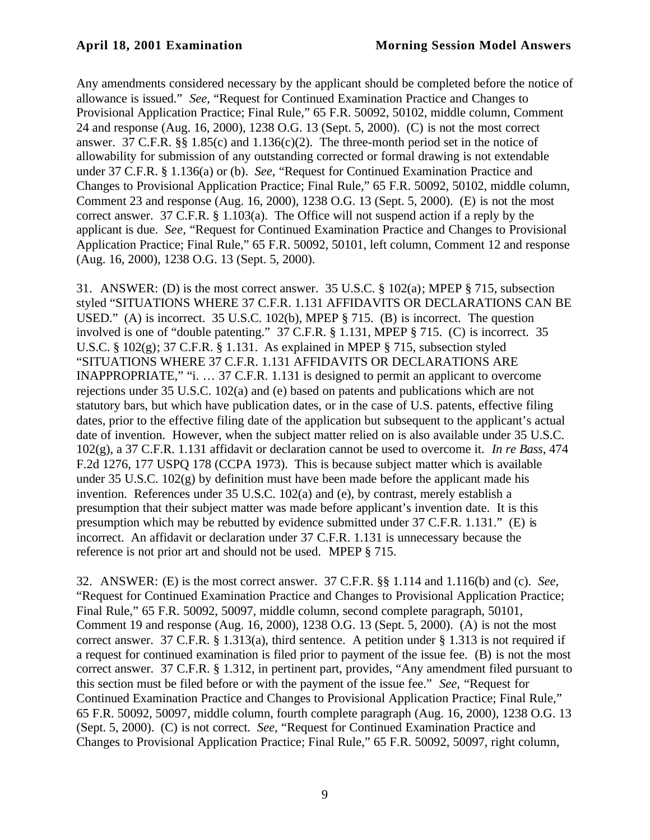Any amendments considered necessary by the applicant should be completed before the notice of allowance is issued." *See,* "Request for Continued Examination Practice and Changes to Provisional Application Practice; Final Rule," 65 F.R. 50092, 50102, middle column, Comment 24 and response (Aug. 16, 2000), 1238 O.G. 13 (Sept. 5, 2000). (C) is not the most correct answer. 37 C.F.R. §§ 1.85(c) and 1.136(c)(2). The three-month period set in the notice of allowability for submission of any outstanding corrected or formal drawing is not extendable under 37 C.F.R. § 1.136(a) or (b). *See,* "Request for Continued Examination Practice and Changes to Provisional Application Practice; Final Rule," 65 F.R. 50092, 50102, middle column, Comment 23 and response (Aug. 16, 2000), 1238 O.G. 13 (Sept. 5, 2000). (E) is not the most correct answer. 37 C.F.R. § 1.103(a). The Office will not suspend action if a reply by the applicant is due. *See,* "Request for Continued Examination Practice and Changes to Provisional Application Practice; Final Rule," 65 F.R. 50092, 50101, left column, Comment 12 and response (Aug. 16, 2000), 1238 O.G. 13 (Sept. 5, 2000).

31. ANSWER: (D) is the most correct answer. 35 U.S.C. § 102(a); MPEP § 715, subsection styled "SITUATIONS WHERE 37 C.F.R. 1.131 AFFIDAVITS OR DECLARATIONS CAN BE USED." (A) is incorrect. 35 U.S.C. 102(b), MPEP § 715. (B) is incorrect. The question involved is one of "double patenting." 37 C.F.R. § 1.131, MPEP § 715. (C) is incorrect. 35 U.S.C. § 102(g); 37 C.F.R. § 1.131. As explained in MPEP § 715, subsection styled "SITUATIONS WHERE 37 C.F.R. 1.131 AFFIDAVITS OR DECLARATIONS ARE INAPPROPRIATE," "i. … 37 C.F.R. 1.131 is designed to permit an applicant to overcome rejections under 35 U.S.C. 102(a) and (e) based on patents and publications which are not statutory bars, but which have publication dates, or in the case of U.S. patents, effective filing dates, prior to the effective filing date of the application but subsequent to the applicant's actual date of invention. However, when the subject matter relied on is also available under 35 U.S.C. 102(g), a 37 C.F.R. 1.131 affidavit or declaration cannot be used to overcome it. *In re Bass*, 474 F.2d 1276, 177 USPQ 178 (CCPA 1973). This is because subject matter which is available under 35 U.S.C.  $102(g)$  by definition must have been made before the applicant made his invention. References under 35 U.S.C. 102(a) and (e), by contrast, merely establish a presumption that their subject matter was made before applicant's invention date. It is this presumption which may be rebutted by evidence submitted under 37 C.F.R. 1.131." (E) is incorrect. An affidavit or declaration under 37 C.F.R. 1.131 is unnecessary because the reference is not prior art and should not be used. MPEP § 715.

32. ANSWER: (E) is the most correct answer. 37 C.F.R. §§ 1.114 and 1.116(b) and (c). *See,* "Request for Continued Examination Practice and Changes to Provisional Application Practice; Final Rule," 65 F.R. 50092, 50097, middle column, second complete paragraph, 50101, Comment 19 and response (Aug. 16, 2000), 1238 O.G. 13 (Sept. 5, 2000). (A) is not the most correct answer. 37 C.F.R. § 1.313(a), third sentence. A petition under § 1.313 is not required if a request for continued examination is filed prior to payment of the issue fee. (B) is not the most correct answer. 37 C.F.R. § 1.312, in pertinent part, provides, "Any amendment filed pursuant to this section must be filed before or with the payment of the issue fee." *See,* "Request for Continued Examination Practice and Changes to Provisional Application Practice; Final Rule," 65 F.R. 50092, 50097, middle column, fourth complete paragraph (Aug. 16, 2000), 1238 O.G. 13 (Sept. 5, 2000). (C) is not correct. *See,* "Request for Continued Examination Practice and Changes to Provisional Application Practice; Final Rule," 65 F.R. 50092, 50097, right column,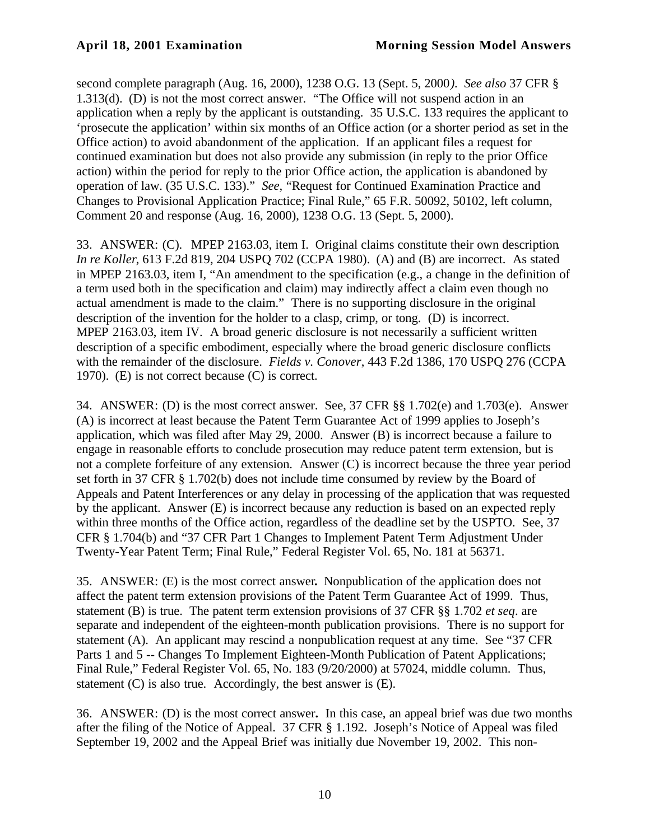second complete paragraph (Aug. 16, 2000), 1238 O.G. 13 (Sept. 5, 2000*). See also* 37 CFR § 1.313(d). (D) is not the most correct answer. "The Office will not suspend action in an application when a reply by the applicant is outstanding. 35 U.S.C. 133 requires the applicant to 'prosecute the application' within six months of an Office action (or a shorter period as set in the Office action) to avoid abandonment of the application. If an applicant files a request for continued examination but does not also provide any submission (in reply to the prior Office action) within the period for reply to the prior Office action, the application is abandoned by operation of law. (35 U.S.C. 133)." *See,* "Request for Continued Examination Practice and Changes to Provisional Application Practice; Final Rule," 65 F.R. 50092, 50102, left column, Comment 20 and response (Aug. 16, 2000), 1238 O.G. 13 (Sept. 5, 2000).

33. ANSWER: (C). MPEP 2163.03, item I. Original claims constitute their own description*. In re Koller*, 613 F.2d 819, 204 USPQ 702 (CCPA 1980). (A) and (B) are incorrect. As stated in MPEP 2163.03, item I, "An amendment to the specification (e.g., a change in the definition of a term used both in the specification and claim) may indirectly affect a claim even though no actual amendment is made to the claim." There is no supporting disclosure in the original description of the invention for the holder to a clasp, crimp, or tong. (D) is incorrect. MPEP 2163.03, item IV. A broad generic disclosure is not necessarily a sufficient written description of a specific embodiment, especially where the broad generic disclosure conflicts with the remainder of the disclosure. *Fields v. Conover*, 443 F.2d 1386, 170 USPQ 276 (CCPA 1970). (E) is not correct because (C) is correct.

34. ANSWER: (D) is the most correct answer. See, 37 CFR §§ 1.702(e) and 1.703(e). Answer (A) is incorrect at least because the Patent Term Guarantee Act of 1999 applies to Joseph's application, which was filed after May 29, 2000. Answer (B) is incorrect because a failure to engage in reasonable efforts to conclude prosecution may reduce patent term extension, but is not a complete forfeiture of any extension. Answer (C) is incorrect because the three year period set forth in 37 CFR § 1.702(b) does not include time consumed by review by the Board of Appeals and Patent Interferences or any delay in processing of the application that was requested by the applicant. Answer (E) is incorrect because any reduction is based on an expected reply within three months of the Office action, regardless of the deadline set by the USPTO. See, 37 CFR § 1.704(b) and "37 CFR Part 1 Changes to Implement Patent Term Adjustment Under Twenty-Year Patent Term; Final Rule," Federal Register Vol. 65, No. 181 at 56371.

35. ANSWER: (E) is the most correct answer**.** Nonpublication of the application does not affect the patent term extension provisions of the Patent Term Guarantee Act of 1999. Thus, statement (B) is true. The patent term extension provisions of 37 CFR §§ 1.702 *et seq*. are separate and independent of the eighteen-month publication provisions. There is no support for statement (A). An applicant may rescind a nonpublication request at any time. See "37 CFR Parts 1 and 5 -- Changes To Implement Eighteen-Month Publication of Patent Applications; Final Rule," Federal Register Vol. 65, No. 183 (9/20/2000) at 57024, middle column. Thus, statement (C) is also true. Accordingly, the best answer is (E).

36. ANSWER: (D) is the most correct answer**.** In this case, an appeal brief was due two months after the filing of the Notice of Appeal. 37 CFR § 1.192. Joseph's Notice of Appeal was filed September 19, 2002 and the Appeal Brief was initially due November 19, 2002. This non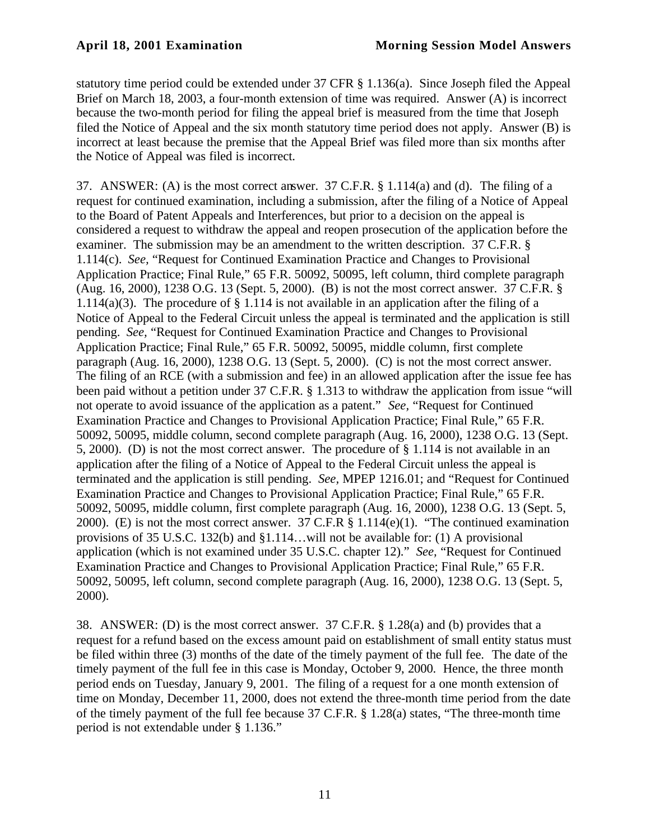statutory time period could be extended under 37 CFR § 1.136(a). Since Joseph filed the Appeal Brief on March 18, 2003, a four-month extension of time was required. Answer (A) is incorrect because the two-month period for filing the appeal brief is measured from the time that Joseph filed the Notice of Appeal and the six month statutory time period does not apply. Answer (B) is incorrect at least because the premise that the Appeal Brief was filed more than six months after the Notice of Appeal was filed is incorrect.

37. ANSWER: (A) is the most correct answer. 37 C.F.R. § 1.114(a) and (d). The filing of a request for continued examination, including a submission, after the filing of a Notice of Appeal to the Board of Patent Appeals and Interferences, but prior to a decision on the appeal is considered a request to withdraw the appeal and reopen prosecution of the application before the examiner. The submission may be an amendment to the written description. 37 C.F.R. § 1.114(c). *See,* "Request for Continued Examination Practice and Changes to Provisional Application Practice; Final Rule," 65 F.R. 50092, 50095, left column, third complete paragraph (Aug. 16, 2000), 1238 O.G. 13 (Sept. 5, 2000). (B) is not the most correct answer. 37 C.F.R. § 1.114(a)(3). The procedure of § 1.114 is not available in an application after the filing of a Notice of Appeal to the Federal Circuit unless the appeal is terminated and the application is still pending. *See,* "Request for Continued Examination Practice and Changes to Provisional Application Practice; Final Rule," 65 F.R. 50092, 50095, middle column, first complete paragraph (Aug. 16, 2000), 1238 O.G. 13 (Sept. 5, 2000). (C) is not the most correct answer. The filing of an RCE (with a submission and fee) in an allowed application after the issue fee has been paid without a petition under 37 C.F.R. § 1.313 to withdraw the application from issue "will not operate to avoid issuance of the application as a patent." *See,* "Request for Continued Examination Practice and Changes to Provisional Application Practice; Final Rule," 65 F.R. 50092, 50095, middle column, second complete paragraph (Aug. 16, 2000), 1238 O.G. 13 (Sept. 5, 2000). (D) is not the most correct answer. The procedure of § 1.114 is not available in an application after the filing of a Notice of Appeal to the Federal Circuit unless the appeal is terminated and the application is still pending. *See,* MPEP 1216.01; and "Request for Continued Examination Practice and Changes to Provisional Application Practice; Final Rule," 65 F.R. 50092, 50095, middle column, first complete paragraph (Aug. 16, 2000), 1238 O.G. 13 (Sept. 5, 2000). (E) is not the most correct answer. 37 C.F.R § 1.114(e)(1). "The continued examination provisions of 35 U.S.C. 132(b) and §1.114…will not be available for: (1) A provisional application (which is not examined under 35 U.S.C. chapter 12)." *See,* "Request for Continued Examination Practice and Changes to Provisional Application Practice; Final Rule," 65 F.R. 50092, 50095, left column, second complete paragraph (Aug. 16, 2000), 1238 O.G. 13 (Sept. 5, 2000).

38. ANSWER: (D) is the most correct answer. 37 C.F.R. § 1.28(a) and (b) provides that a request for a refund based on the excess amount paid on establishment of small entity status must be filed within three (3) months of the date of the timely payment of the full fee. The date of the timely payment of the full fee in this case is Monday, October 9, 2000. Hence, the three month period ends on Tuesday, January 9, 2001. The filing of a request for a one month extension of time on Monday, December 11, 2000, does not extend the three-month time period from the date of the timely payment of the full fee because 37 C.F.R. § 1.28(a) states, "The three-month time period is not extendable under § 1.136."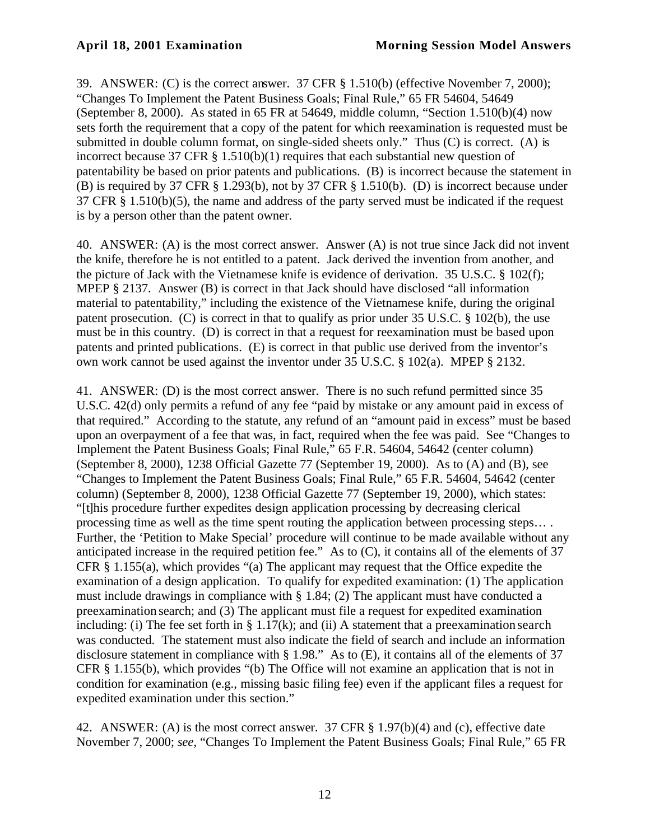39. ANSWER: (C) is the correct answer. 37 CFR § 1.510(b) (effective November 7, 2000); "Changes To Implement the Patent Business Goals; Final Rule," 65 FR 54604, 54649 (September 8, 2000). As stated in 65 FR at 54649, middle column, "Section 1.510(b)(4) now sets forth the requirement that a copy of the patent for which reexamination is requested must be submitted in double column format, on single-sided sheets only." Thus (C) is correct. (A) is incorrect because 37 CFR § 1.510(b)(1) requires that each substantial new question of patentability be based on prior patents and publications. (B) is incorrect because the statement in (B) is required by 37 CFR § 1.293(b), not by 37 CFR § 1.510(b). (D) is incorrect because under 37 CFR § 1.510(b)(5), the name and address of the party served must be indicated if the request is by a person other than the patent owner.

40. ANSWER: (A) is the most correct answer. Answer (A) is not true since Jack did not invent the knife, therefore he is not entitled to a patent. Jack derived the invention from another, and the picture of Jack with the Vietnamese knife is evidence of derivation. 35 U.S.C. § 102(f); MPEP § 2137. Answer (B) is correct in that Jack should have disclosed "all information material to patentability," including the existence of the Vietnamese knife, during the original patent prosecution. (C) is correct in that to qualify as prior under 35 U.S.C. § 102(b), the use must be in this country. (D) is correct in that a request for reexamination must be based upon patents and printed publications. (E) is correct in that public use derived from the inventor's own work cannot be used against the inventor under 35 U.S.C. § 102(a). MPEP § 2132.

41. ANSWER: (D) is the most correct answer. There is no such refund permitted since 35 U.S.C. 42(d) only permits a refund of any fee "paid by mistake or any amount paid in excess of that required." According to the statute, any refund of an "amount paid in excess" must be based upon an overpayment of a fee that was, in fact, required when the fee was paid. See "Changes to Implement the Patent Business Goals; Final Rule," 65 F.R. 54604, 54642 (center column) (September 8, 2000), 1238 Official Gazette 77 (September 19, 2000). As to (A) and (B), see "Changes to Implement the Patent Business Goals; Final Rule," 65 F.R. 54604, 54642 (center column) (September 8, 2000), 1238 Official Gazette 77 (September 19, 2000), which states: "[t]his procedure further expedites design application processing by decreasing clerical processing time as well as the time spent routing the application between processing steps… . Further, the 'Petition to Make Special' procedure will continue to be made available without any anticipated increase in the required petition fee." As to (C), it contains all of the elements of 37 CFR § 1.155(a), which provides "(a) The applicant may request that the Office expedite the examination of a design application. To qualify for expedited examination: (1) The application must include drawings in compliance with § 1.84; (2) The applicant must have conducted a preexamination search; and (3) The applicant must file a request for expedited examination including: (i) The fee set forth in § 1.17(k); and (ii) A statement that a preexamination search was conducted. The statement must also indicate the field of search and include an information disclosure statement in compliance with § 1.98." As to (E), it contains all of the elements of 37 CFR § 1.155(b), which provides "(b) The Office will not examine an application that is not in condition for examination (e.g., missing basic filing fee) even if the applicant files a request for expedited examination under this section."

42. ANSWER: (A) is the most correct answer. 37 CFR § 1.97(b)(4) and (c), effective date November 7, 2000; *see,* "Changes To Implement the Patent Business Goals; Final Rule," 65 FR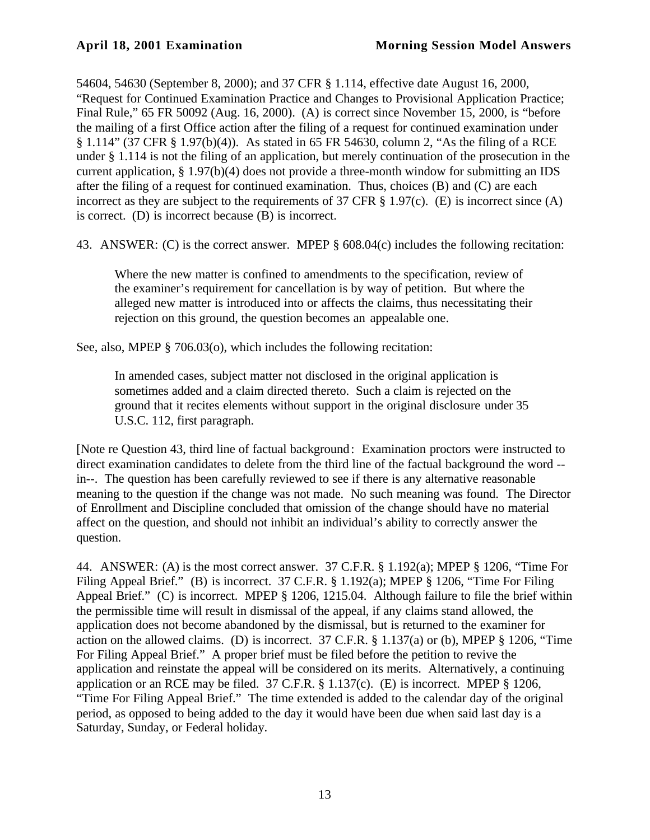54604, 54630 (September 8, 2000); and 37 CFR § 1.114, effective date August 16, 2000, "Request for Continued Examination Practice and Changes to Provisional Application Practice; Final Rule," 65 FR 50092 (Aug. 16, 2000). (A) is correct since November 15, 2000, is "before the mailing of a first Office action after the filing of a request for continued examination under § 1.114" (37 CFR § 1.97(b)(4)). As stated in 65 FR 54630, column 2, "As the filing of a RCE under § 1.114 is not the filing of an application, but merely continuation of the prosecution in the current application, § 1.97(b)(4) does not provide a three-month window for submitting an IDS after the filing of a request for continued examination. Thus, choices (B) and (C) are each incorrect as they are subject to the requirements of 37 CFR  $\S$  1.97(c). (E) is incorrect since (A) is correct. (D) is incorrect because (B) is incorrect.

43. ANSWER: (C) is the correct answer. MPEP § 608.04(c) includes the following recitation:

Where the new matter is confined to amendments to the specification, review of the examiner's requirement for cancellation is by way of petition. But where the alleged new matter is introduced into or affects the claims, thus necessitating their rejection on this ground, the question becomes an appealable one.

See, also, MPEP § 706.03(o), which includes the following recitation:

In amended cases, subject matter not disclosed in the original application is sometimes added and a claim directed thereto. Such a claim is rejected on the ground that it recites elements without support in the original disclosure under 35 U.S.C. 112, first paragraph.

[Note re Question 43, third line of factual background: Examination proctors were instructed to direct examination candidates to delete from the third line of the factual background the word - in--. The question has been carefully reviewed to see if there is any alternative reasonable meaning to the question if the change was not made. No such meaning was found. The Director of Enrollment and Discipline concluded that omission of the change should have no material affect on the question, and should not inhibit an individual's ability to correctly answer the question.

44. ANSWER: (A) is the most correct answer. 37 C.F.R. § 1.192(a); MPEP § 1206, "Time For Filing Appeal Brief." (B) is incorrect. 37 C.F.R. § 1.192(a); MPEP § 1206, "Time For Filing Appeal Brief." (C) is incorrect. MPEP § 1206, 1215.04. Although failure to file the brief within the permissible time will result in dismissal of the appeal, if any claims stand allowed, the application does not become abandoned by the dismissal, but is returned to the examiner for action on the allowed claims. (D) is incorrect. 37 C.F.R. § 1.137(a) or (b), MPEP § 1206, "Time For Filing Appeal Brief." A proper brief must be filed before the petition to revive the application and reinstate the appeal will be considered on its merits. Alternatively, a continuing application or an RCE may be filed.  $37$  C.F.R.  $\S$  1.137(c). (E) is incorrect. MPEP  $\S$  1206, "Time For Filing Appeal Brief." The time extended is added to the calendar day of the original period, as opposed to being added to the day it would have been due when said last day is a Saturday, Sunday, or Federal holiday.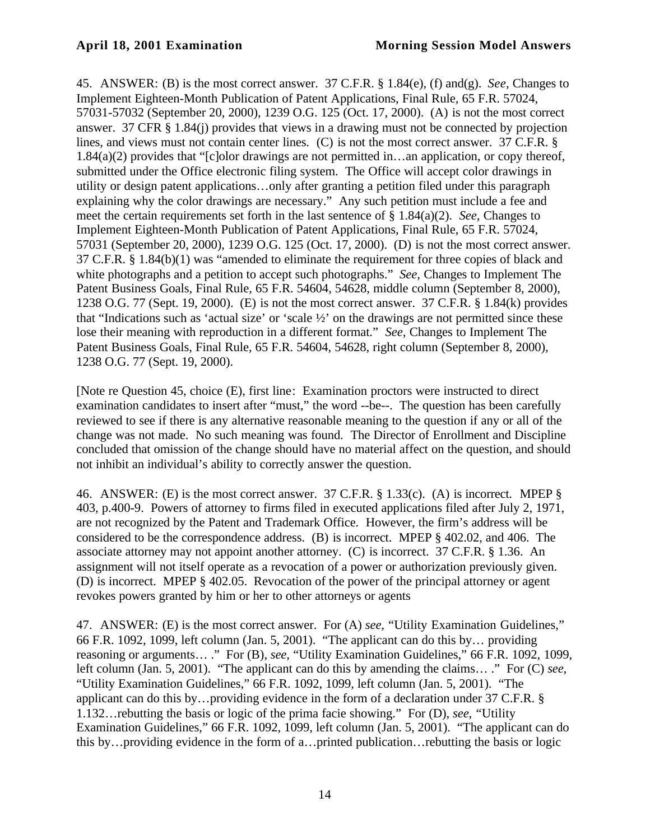45. ANSWER: (B) is the most correct answer. 37 C.F.R. § 1.84(e), (f) and(g). *See,* Changes to Implement Eighteen-Month Publication of Patent Applications, Final Rule, 65 F.R. 57024, 57031-57032 (September 20, 2000), 1239 O.G. 125 (Oct. 17, 2000). (A) is not the most correct answer. 37 CFR § 1.84(j) provides that views in a drawing must not be connected by projection lines, and views must not contain center lines. (C) is not the most correct answer. 37 C.F.R. § 1.84(a)(2) provides that "[c]olor drawings are not permitted in…an application, or copy thereof, submitted under the Office electronic filing system. The Office will accept color drawings in utility or design patent applications…only after granting a petition filed under this paragraph explaining why the color drawings are necessary." Any such petition must include a fee and meet the certain requirements set forth in the last sentence of § 1.84(a)(2). *See,* Changes to Implement Eighteen-Month Publication of Patent Applications, Final Rule, 65 F.R. 57024, 57031 (September 20, 2000), 1239 O.G. 125 (Oct. 17, 2000). (D) is not the most correct answer. 37 C.F.R. § 1.84(b)(1) was "amended to eliminate the requirement for three copies of black and white photographs and a petition to accept such photographs." *See,* Changes to Implement The Patent Business Goals, Final Rule, 65 F.R. 54604, 54628, middle column (September 8, 2000), 1238 O.G. 77 (Sept. 19, 2000). (E) is not the most correct answer. 37 C.F.R. § 1.84(k) provides that "Indications such as 'actual size' or 'scale ½' on the drawings are not permitted since these lose their meaning with reproduction in a different format." *See,* Changes to Implement The Patent Business Goals, Final Rule, 65 F.R. 54604, 54628, right column (September 8, 2000), 1238 O.G. 77 (Sept. 19, 2000).

[Note re Question 45, choice (E), first line: Examination proctors were instructed to direct examination candidates to insert after "must," the word --be--. The question has been carefully reviewed to see if there is any alternative reasonable meaning to the question if any or all of the change was not made. No such meaning was found. The Director of Enrollment and Discipline concluded that omission of the change should have no material affect on the question, and should not inhibit an individual's ability to correctly answer the question.

46. ANSWER: (E) is the most correct answer. 37 C.F.R. § 1.33(c). (A) is incorrect. MPEP § 403, p.400-9. Powers of attorney to firms filed in executed applications filed after July 2, 1971, are not recognized by the Patent and Trademark Office. However, the firm's address will be considered to be the correspondence address. (B) is incorrect. MPEP § 402.02, and 406. The associate attorney may not appoint another attorney. (C) is incorrect. 37 C.F.R. § 1.36. An assignment will not itself operate as a revocation of a power or authorization previously given. (D) is incorrect. MPEP § 402.05. Revocation of the power of the principal attorney or agent revokes powers granted by him or her to other attorneys or agents

47. ANSWER: (E) is the most correct answer. For (A) *see*, "Utility Examination Guidelines," 66 F.R. 1092, 1099, left column (Jan. 5, 2001). "The applicant can do this by… providing reasoning or arguments… ." For (B), *see*, "Utility Examination Guidelines," 66 F.R. 1092, 1099, left column (Jan. 5, 2001). "The applicant can do this by amending the claims… ." For (C) *see*, "Utility Examination Guidelines," 66 F.R. 1092, 1099, left column (Jan. 5, 2001). "The applicant can do this by…providing evidence in the form of a declaration under 37 C.F.R. § 1.132…rebutting the basis or logic of the prima facie showing." For (D), *see*, "Utility Examination Guidelines," 66 F.R. 1092, 1099, left column (Jan. 5, 2001). "The applicant can do this by…providing evidence in the form of a…printed publication…rebutting the basis or logic